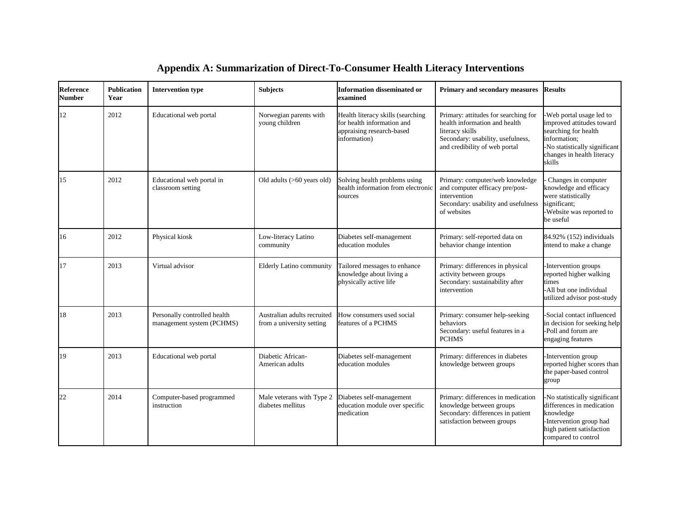| <b>Reference</b><br><b>Number</b> | <b>Publication</b><br>Year | <b>Intervention type</b>                                  | <b>Subjects</b>                                          | <b>Information disseminated or</b><br>examined                                                               | Primary and secondary measures                                                                                                                                 | <b>Results</b>                                                                                                                                                         |
|-----------------------------------|----------------------------|-----------------------------------------------------------|----------------------------------------------------------|--------------------------------------------------------------------------------------------------------------|----------------------------------------------------------------------------------------------------------------------------------------------------------------|------------------------------------------------------------------------------------------------------------------------------------------------------------------------|
| 12                                | 2012                       | Educational web portal                                    | Norwegian parents with<br>young children                 | Health literacy skills (searching<br>for health information and<br>appraising research-based<br>information) | Primary: attitudes for searching for<br>health information and health<br>literacy skills<br>Secondary: usability, usefulness,<br>and credibility of web portal | -Web portal usage led to<br>improved attitudes toward<br>searching for health<br>information;<br>-No statistically significant<br>changes in health literacy<br>skills |
| 15                                | 2012                       | Educational web portal in<br>classroom setting            | Old adults (>60 years old)                               | Solving health problems using<br>health information from electronic<br>sources                               | Primary: computer/web knowledge<br>and computer efficacy pre/post-<br>intervention<br>Secondary: usability and usefulness<br>of websites                       | Changes in computer<br>knowledge and efficacy<br>were statistically<br>significant;<br>Website was reported to<br>be useful                                            |
| 16                                | 2012                       | Physical kiosk                                            | Low-literacy Latino<br>community                         | Diabetes self-management<br>education modules                                                                | Primary: self-reported data on<br>behavior change intention                                                                                                    | 84.92% (152) individuals<br>intend to make a change                                                                                                                    |
| 17                                | 2013                       | Virtual advisor                                           | Elderly Latino community                                 | Tailored messages to enhance<br>knowledge about living a<br>physically active life                           | Primary: differences in physical<br>activity between groups<br>Secondary: sustainability after<br>intervention                                                 | -Intervention groups<br>reported higher walking<br>times<br>-All but one individual<br>utilized advisor post-study                                                     |
| 18                                | 2013                       | Personally controlled health<br>management system (PCHMS) | Australian adults recruited<br>from a university setting | How consumers used social<br>features of a PCHMS                                                             | Primary: consumer help-seeking<br>behaviors<br>Secondary: useful features in a<br><b>PCHMS</b>                                                                 | Social contact influenced<br>in decision for seeking help<br>-Poll and forum are<br>engaging features                                                                  |
| 19                                | 2013                       | Educational web portal                                    | Diabetic African-<br>American adults                     | Diabetes self-management<br>education modules                                                                | Primary: differences in diabetes<br>knowledge between groups                                                                                                   | -Intervention group<br>reported higher scores than<br>the paper-based control<br>group                                                                                 |
| 22                                | 2014                       | Computer-based programmed<br>instruction                  | Male veterans with Type 2<br>diabetes mellitus           | Diabetes self-management<br>education module over specific<br>medication                                     | Primary: differences in medication<br>knowledge between groups<br>Secondary: differences in patient<br>satisfaction between groups                             | -No statistically significant<br>differences in medication<br>knowledge<br>-Intervention group had<br>high patient satisfaction<br>compared to control                 |

## **Appendix A: Summarization of Direct-To-Consumer Health Literacy Interventions**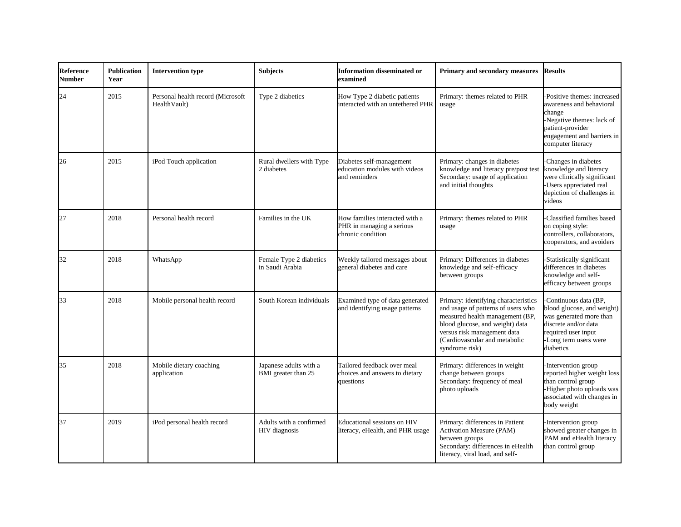| <b>Reference</b><br><b>Number</b> | <b>Publication</b><br>Year | <b>Intervention type</b>                           | <b>Subjects</b>                               | <b>Information disseminated or</b><br>examined                                   | Primary and secondary measures                                                                                                                                                                                                     | <b>Results</b>                                                                                                                                                        |
|-----------------------------------|----------------------------|----------------------------------------------------|-----------------------------------------------|----------------------------------------------------------------------------------|------------------------------------------------------------------------------------------------------------------------------------------------------------------------------------------------------------------------------------|-----------------------------------------------------------------------------------------------------------------------------------------------------------------------|
| 24                                | 2015                       | Personal health record (Microsoft<br>Health Vault) | Type 2 diabetics                              | How Type 2 diabetic patients<br>interacted with an untethered PHR                | Primary: themes related to PHR<br>usage                                                                                                                                                                                            | -Positive themes: increased<br>awareness and behavioral<br>change<br>-Negative themes: lack of<br>patient-provider<br>engagement and barriers in<br>computer literacy |
| 26                                | 2015                       | iPod Touch application                             | Rural dwellers with Type<br>2 diabetes        | Diabetes self-management<br>education modules with videos<br>and reminders       | Primary: changes in diabetes<br>knowledge and literacy pre/post test<br>Secondary: usage of application<br>and initial thoughts                                                                                                    | Changes in diabetes<br>knowledge and literacy<br>were clinically significant<br>Users appreciated real<br>depiction of challenges in<br>videos                        |
| 27                                | 2018                       | Personal health record                             | Families in the UK                            | How families interacted with a<br>PHR in managing a serious<br>chronic condition | Primary: themes related to PHR<br>usage                                                                                                                                                                                            | Classified families based<br>on coping style:<br>controllers, collaborators,<br>cooperators, and avoiders                                                             |
| 32                                | 2018                       | WhatsApp                                           | Female Type 2 diabetics<br>in Saudi Arabia    | Weekly tailored messages about<br>general diabetes and care                      | Primary: Differences in diabetes<br>knowledge and self-efficacy<br>between groups                                                                                                                                                  | Statistically significant<br>differences in diabetes<br>knowledge and self-<br>efficacy between groups                                                                |
| 33                                | 2018                       | Mobile personal health record                      | South Korean individuals                      | Examined type of data generated<br>and identifying usage patterns                | Primary: identifying characteristics<br>and usage of patterns of users who<br>measured health management (BP,<br>blood glucose, and weight) data<br>versus risk management data<br>(Cardiovascular and metabolic<br>syndrome risk) | -Continuous data (BP,<br>blood glucose, and weight)<br>was generated more than<br>discrete and/or data<br>required user input<br>-Long term users were<br>diabetics   |
| 35                                | 2018                       | Mobile dietary coaching<br>application             | Japanese adults with a<br>BMI greater than 25 | Tailored feedback over meal<br>choices and answers to dietary<br>questions       | Primary: differences in weight<br>change between groups<br>Secondary: frequency of meal<br>photo uploads                                                                                                                           | Intervention group<br>reported higher weight loss<br>than control group<br>-Higher photo uploads was<br>associated with changes in<br>body weight                     |
| 37                                | 2019                       | iPod personal health record                        | Adults with a confirmed<br>HIV diagnosis      | Educational sessions on HIV<br>literacy, eHealth, and PHR usage                  | Primary: differences in Patient<br>Activation Measure (PAM)<br>between groups<br>Secondary: differences in eHealth<br>literacy, viral load, and self-                                                                              | -Intervention group<br>showed greater changes in<br>PAM and eHealth literacy<br>than control group                                                                    |